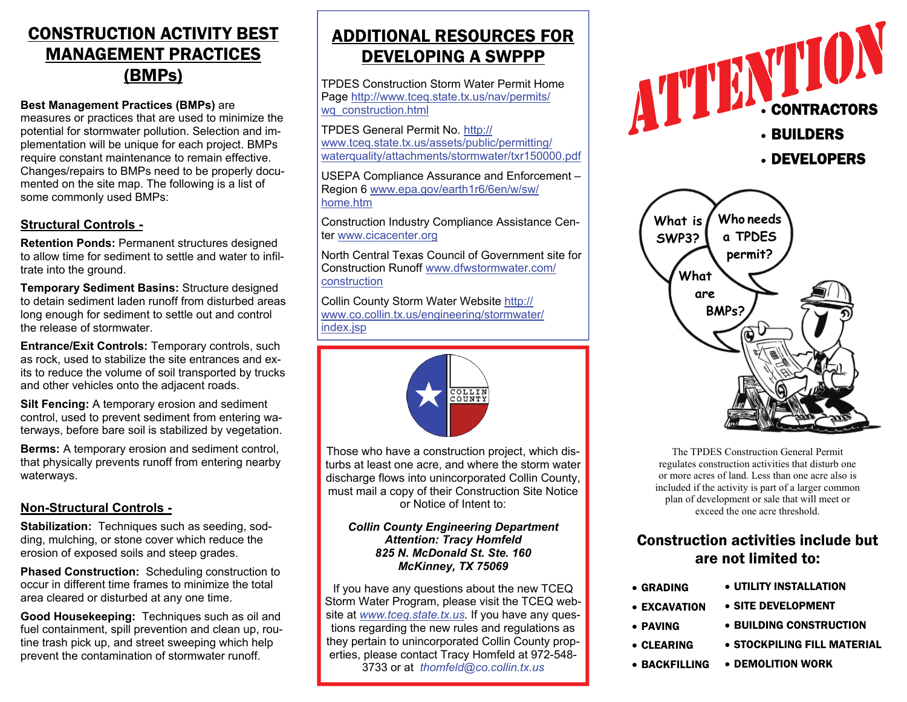# CONSTRUCTION ACTIVITY BEST MANAGEMENT PRACTICES (BMPs)

#### **Best Management Practices (BMPs)** are

measures or practices that are used to minimize the potential for stormwater pollution. Selection and implementation will be unique for each project. BMPs require constant maintenance to remain effective. Changes/repairs to BMPs need to be properly documented on the site map. The following is a list of some commonly used BMPs:

### **Structural Controls -**

**Retention Ponds:** Permanent structures designed to allow time for sediment to settle and water to infiltrate into the ground.

**Temporary Sediment Basins:** Structure designed to detain sediment laden runoff from disturbed areas long enough for sediment to settle out and control the release of stormwater.

**Entrance/Exit Controls: Temporary controls, such and the superiorists of the superiorists of the superiorists** as rock, used to stabilize the site entrances and exits to reduce the volume of soil transported by trucks and other vehicles onto the adjacent roads.

**Silt Fencing:** A temporary erosion and sediment control, used to prevent sediment from entering waterways, before bare soil is stabilized by vegetation.

**Berms:** A temporary erosion and sediment control, that physically prevents runoff from entering nearby waterways.

## **Non-Structural Controls -**

**Stabilization:** Techniques such as seeding, sodding, mulching, or stone cover which reduce the erosion of exposed soils and steep grades.

**Phased Construction:** Scheduling construction to occur in different time frames to minimize the total area cleared or disturbed at any one time.

**Good Housekeeping:** Techniques such as oil and fuel containment, spill prevention and clean up, routine trash pick up, and street sweeping which help prevent the contamination of stormwater runoff.

# ADDITIONAL RESOURCES FOR DEVELOPING A SWPPP

TPDES Construction Storm Water Permit Home Page http://www.tceq.state.tx.us/nav/permits/ wq\_construction.html

TPDES General Permit No. http:// www.tceq.state.tx.us/assets/public/permitting/ waterquality/attachments/stormwater/txr150000.pdf

USEPA Compliance Assurance and Enforcement – Region 6 www.epa.gov/earth1r6/6en/w/sw/ home.htm

Construction Industry Compliance Assistance Center www.cicacenter.org

North Central Texas Council of Government site for Construction Runoff www.dfwstormwater.com/construction

Collin County Storm Water Website http:// www.co.collin.tx.us/engineering/stormwater/ index.jsp



Those who have a construction project, which disturbs at least one acre, and where the storm water discharge flows into unincorporated Collin County, must mail a copy of their Construction Site Notice or Notice of Intent to:

#### *Collin County Engineering Department Attention: Tracy Homfeld 825 N. McDonald St. Ste. 160 McKinney, TX 75069*

If you have any questions about the new TCEQ Storm Water Program, please visit the TCEQ website at *www.tceq.state.tx.us.* If you have any questions regarding the new rules and regulations as they pertain to unincorporated Collin County properties, please contact Tracy Homfeld at 972-548- 3733 or at *thomfeld@co.collin.tx.us*





The TPDES Construction General Permit regulates construction activities that disturb one or more acres of land. Less than one acre also is included if the activity is part of a larger common plan of development or sale that will meet or exceed the one acre threshold.

# Construction activities include but are not limited to:

- UTILITY INSTALLATION • SITE DEVELOPMENT • BUILDING CONSTRUCTION • GRADING • EXCAVATION • PAVING
	- STOCKPILING FILL MATERIAL • CLEARING
	- DEMOLITION WORK• BACKFILLING